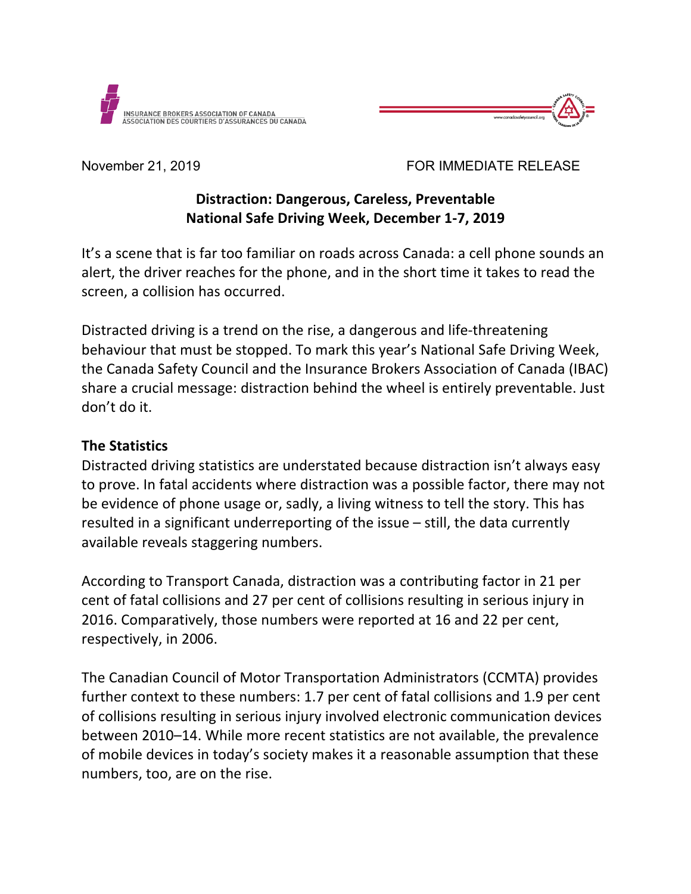



November 21, 2019 FOR IMMEDIATE RELEASE

# **Distraction: Dangerous, Careless, Preventable National Safe Driving Week, December 1-7, 2019**

It's a scene that is far too familiar on roads across Canada: a cell phone sounds an alert, the driver reaches for the phone, and in the short time it takes to read the screen, a collision has occurred.

Distracted driving is a trend on the rise, a dangerous and life-threatening behaviour that must be stopped. To mark this year's National Safe Driving Week, the Canada Safety Council and the Insurance Brokers Association of Canada (IBAC) share a crucial message: distraction behind the wheel is entirely preventable. Just don't do it.

### **The Statistics**

Distracted driving statistics are understated because distraction isn't always easy to prove. In fatal accidents where distraction was a possible factor, there may not be evidence of phone usage or, sadly, a living witness to tell the story. This has resulted in a significant underreporting of the issue – still, the data currently available reveals staggering numbers.

According to Transport Canada, distraction was a contributing factor in 21 per cent of fatal collisions and 27 per cent of collisions resulting in serious injury in 2016. Comparatively, those numbers were reported at 16 and 22 per cent, respectively, in 2006.

The Canadian Council of Motor Transportation Administrators (CCMTA) provides further context to these numbers: 1.7 per cent of fatal collisions and 1.9 per cent of collisions resulting in serious injury involved electronic communication devices between 2010–14. While more recent statistics are not available, the prevalence of mobile devices in today's society makes it a reasonable assumption that these numbers, too, are on the rise.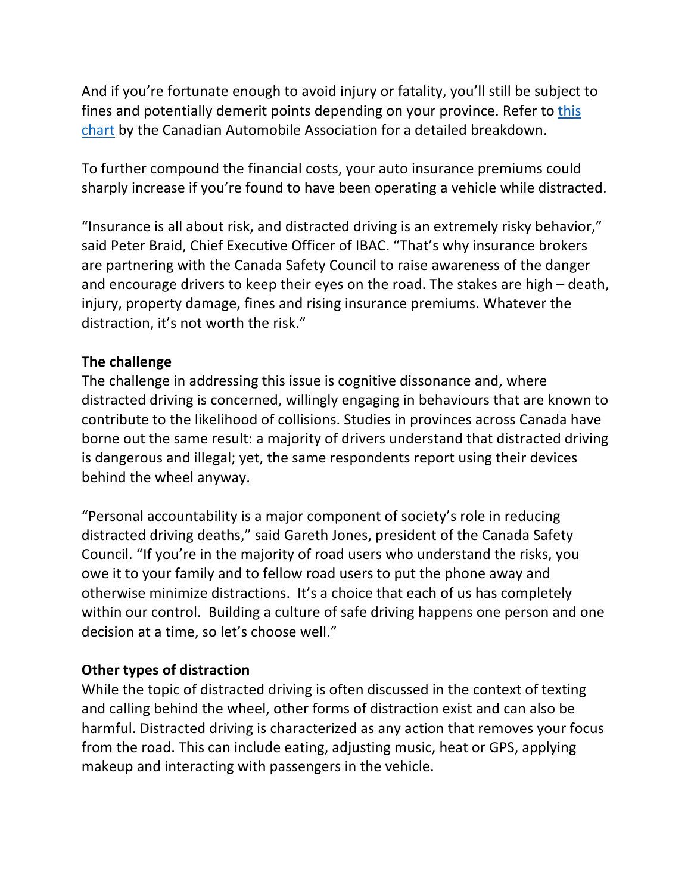And if you're fortunate enough to avoid injury or fatality, you'll still be subject to fines and potentially demerit points depending on your province. Refer to [this](https://www.caa.ca/distracted-driving/distracted-driving-laws-in-canada/)  [chart](https://www.caa.ca/distracted-driving/distracted-driving-laws-in-canada/) by the Canadian Automobile Association for a detailed breakdown.

To further compound the financial costs, your auto insurance premiums could sharply increase if you're found to have been operating a vehicle while distracted.

"Insurance is all about risk, and distracted driving is an extremely risky behavior," said Peter Braid, Chief Executive Officer of IBAC. "That's why insurance brokers are partnering with the Canada Safety Council to raise awareness of the danger and encourage drivers to keep their eyes on the road. The stakes are high – death, injury, property damage, fines and rising insurance premiums. Whatever the distraction, it's not worth the risk."

### **The challenge**

The challenge in addressing this issue is cognitive dissonance and, where distracted driving is concerned, willingly engaging in behaviours that are known to contribute to the likelihood of collisions. Studies in provinces across Canada have borne out the same result: a majority of drivers understand that distracted driving is dangerous and illegal; yet, the same respondents report using their devices behind the wheel anyway.

"Personal accountability is a major component of society's role in reducing distracted driving deaths," said Gareth Jones, president of the Canada Safety Council. "If you're in the majority of road users who understand the risks, you owe it to your family and to fellow road users to put the phone away and otherwise minimize distractions. It's a choice that each of us has completely within our control. Building a culture of safe driving happens one person and one decision at a time, so let's choose well."

#### **Other types of distraction**

While the topic of distracted driving is often discussed in the context of texting and calling behind the wheel, other forms of distraction exist and can also be harmful. Distracted driving is characterized as any action that removes your focus from the road. This can include eating, adjusting music, heat or GPS, applying makeup and interacting with passengers in the vehicle.